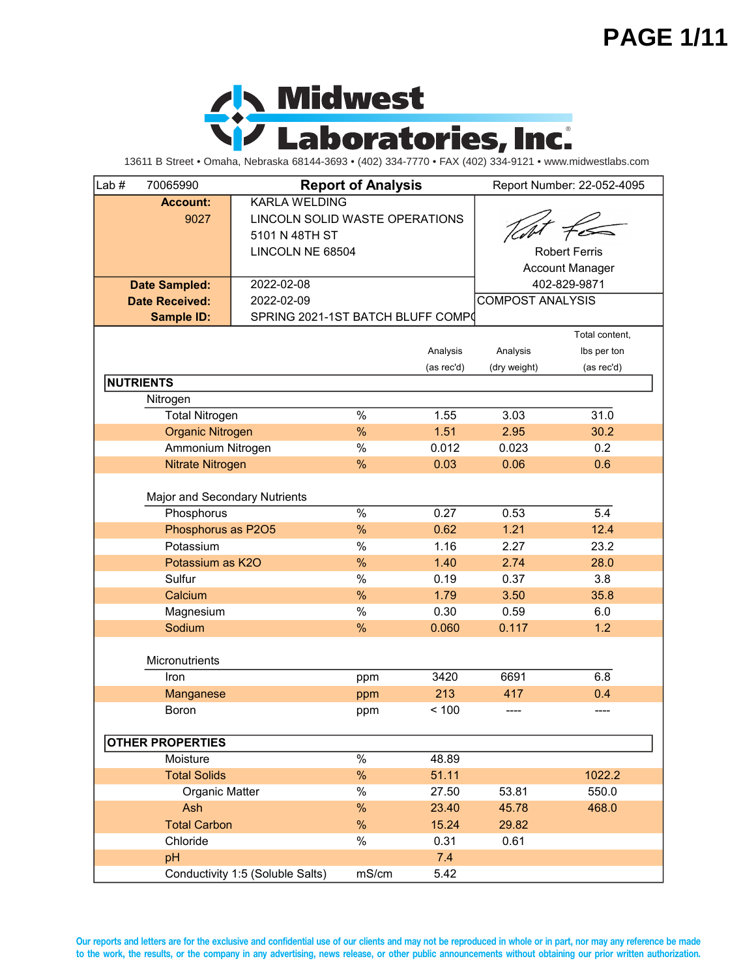#### **PAGE 1/11**



13611 B Street • Omaha, Nebraska 68144-3693 • (402) 334-7770 • FAX (402) 334-9121 • www.midwestlabs.com

| Lab $#$<br>70065990           | <b>Report of Analysis</b>         |       |                      | Report Number: 22-052-4095 |                |  |  |
|-------------------------------|-----------------------------------|-------|----------------------|----------------------------|----------------|--|--|
| <b>Account:</b>               | <b>KARLA WELDING</b>              |       |                      |                            |                |  |  |
| 9027                          | LINCOLN SOLID WASTE OPERATIONS    |       |                      |                            |                |  |  |
|                               | 5101 N 48TH ST                    |       |                      |                            |                |  |  |
|                               | LINCOLN NE 68504                  |       | <b>Robert Ferris</b> |                            |                |  |  |
|                               |                                   |       |                      | <b>Account Manager</b>     |                |  |  |
| <b>Date Sampled:</b>          | 2022-02-08                        |       |                      | 402-829-9871               |                |  |  |
| <b>Date Received:</b>         | 2022-02-09                        |       |                      | <b>COMPOST ANALYSIS</b>    |                |  |  |
| <b>Sample ID:</b>             | SPRING 2021-1ST BATCH BLUFF COMPO |       |                      |                            |                |  |  |
|                               |                                   |       |                      |                            | Total content, |  |  |
|                               |                                   |       | Analysis             | Analysis                   | Ibs per ton    |  |  |
|                               |                                   |       | (as rec'd)           | (dry weight)               | (as rec'd)     |  |  |
| <b>NUTRIENTS</b>              |                                   |       |                      |                            |                |  |  |
| Nitrogen                      |                                   |       |                      |                            |                |  |  |
| <b>Total Nitrogen</b>         |                                   | $\%$  | 1.55                 | 3.03                       | 31.0           |  |  |
| <b>Organic Nitrogen</b>       |                                   | %     | 1.51                 | 2.95                       | 30.2           |  |  |
| Ammonium Nitrogen             |                                   | $\%$  | 0.012                | 0.023                      | 0.2            |  |  |
| Nitrate Nitrogen              |                                   | %     | 0.03                 | 0.06                       | 0.6            |  |  |
|                               |                                   |       |                      |                            |                |  |  |
| Major and Secondary Nutrients |                                   |       |                      |                            |                |  |  |
| Phosphorus                    | $\%$                              | 0.27  | 0.53                 | 5.4                        |                |  |  |
| Phosphorus as P2O5            | %                                 | 0.62  | 1.21                 | 12.4                       |                |  |  |
| Potassium                     | $\%$                              | 1.16  | 2.27                 | 23.2                       |                |  |  |
| Potassium as K2O              | %                                 | 1.40  | 2.74                 | 28.0                       |                |  |  |
| Sulfur                        | $\%$                              | 0.19  | 0.37                 | 3.8                        |                |  |  |
| Calcium                       |                                   |       |                      | 3.50                       | 35.8           |  |  |
| Magnesium                     |                                   | $\%$  | 0.30                 | 0.59                       | 6.0            |  |  |
| Sodium                        | %                                 | 0.060 | 0.117                | 1.2                        |                |  |  |
|                               |                                   |       |                      |                            |                |  |  |
| Micronutrients                |                                   |       |                      |                            |                |  |  |
| Iron                          |                                   | ppm   | 3420<br>213          | 6691                       | 6.8            |  |  |
| Manganese                     |                                   |       |                      | 417                        | 0.4            |  |  |
| Boron                         |                                   | ppm   | < 100                |                            | ----           |  |  |
|                               |                                   |       |                      |                            |                |  |  |
| <b>OTHER PROPERTIES</b>       |                                   |       |                      |                            |                |  |  |
| Moisture                      |                                   | $\%$  | 48.89                |                            |                |  |  |
| <b>Total Solids</b>           |                                   | $\%$  | 51.11                |                            | 1022.2         |  |  |
| Organic Matter                |                                   | $\%$  | 27.50                | 53.81                      | 550.0          |  |  |
| Ash                           |                                   | %     | 23.40                | 45.78                      | 468.0          |  |  |
| <b>Total Carbon</b>           |                                   | $\%$  | 15.24                | 29.82                      |                |  |  |
| Chloride                      |                                   | $\%$  | 0.31                 | 0.61                       |                |  |  |
| pH                            |                                   |       | 7.4                  |                            |                |  |  |
|                               | Conductivity 1:5 (Soluble Salts)  | mS/cm | 5.42                 |                            |                |  |  |

**Our reports and letters are for the exclusive and confidential use of our clients and may not be reproduced in whole or in part, nor may any reference be made to the work, the results, or the company in any advertising, news release, or other public announcements without obtaining our prior written authorization.**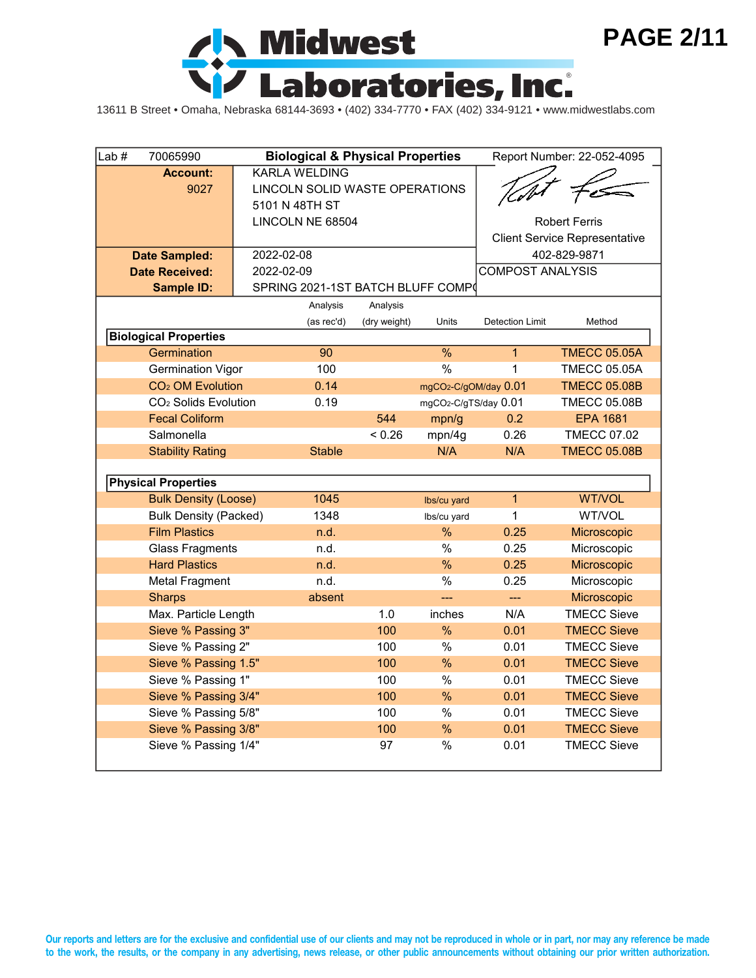

13611 B Street • Omaha, Nebraska 68144-3693 • (402) 334-7770 • FAX (402) 334-9121 • www.midwestlabs.com

| Lab $#$                 | 70065990                                             | <b>Biological &amp; Physical Properties</b> |                                  |              |                                   | Report Number: 22-052-4095           |                                   |  |  |
|-------------------------|------------------------------------------------------|---------------------------------------------|----------------------------------|--------------|-----------------------------------|--------------------------------------|-----------------------------------|--|--|
|                         | <b>Account:</b>                                      |                                             | <b>KARLA WELDING</b>             |              |                                   |                                      |                                   |  |  |
|                         | 9027                                                 |                                             | LINCOLN SOLID WASTE OPERATIONS   |              |                                   |                                      |                                   |  |  |
|                         |                                                      |                                             | 5101 N 48TH ST                   |              |                                   |                                      |                                   |  |  |
|                         |                                                      |                                             | LINCOLN NE 68504                 |              |                                   | <b>Robert Ferris</b>                 |                                   |  |  |
|                         |                                                      |                                             |                                  |              |                                   | <b>Client Service Representative</b> |                                   |  |  |
|                         | <b>Date Sampled:</b>                                 | 2022-02-08                                  |                                  |              |                                   |                                      | 402-829-9871                      |  |  |
|                         | <b>Date Received:</b>                                | 2022-02-09                                  |                                  |              |                                   | <b>COMPOST ANALYSIS</b>              |                                   |  |  |
|                         | <b>Sample ID:</b>                                    |                                             | SPRING 2021-1ST BATCH BLUFF COMP |              |                                   |                                      |                                   |  |  |
|                         |                                                      |                                             | Analysis                         | Analysis     |                                   |                                      |                                   |  |  |
|                         |                                                      |                                             | (as rec'd)                       | (dry weight) | Units                             | <b>Detection Limit</b>               | Method                            |  |  |
|                         | <b>Biological Properties</b>                         |                                             |                                  |              |                                   |                                      |                                   |  |  |
|                         | Germination                                          |                                             | 90                               |              | $\overline{\frac{9}{6}}$          | $\mathbf{1}$                         | <b>TMECC 05.05A</b>               |  |  |
|                         | <b>Germination Vigor</b>                             |                                             | 100                              |              | $\frac{0}{0}$                     | $\mathbf{1}$                         | <b>TMECC 05.05A</b>               |  |  |
|                         | CO <sub>2</sub> OM Evolution                         |                                             | 0.14                             |              | mgCO <sub>2</sub> -C/gOM/day 0.01 |                                      | <b>TMECC 05.08B</b>               |  |  |
|                         | CO <sub>2</sub> Solids Evolution                     |                                             | 0.19                             |              | mgCO2-C/gTS/day 0.01              |                                      | <b>TMECC 05.08B</b>               |  |  |
|                         | <b>Fecal Coliform</b>                                |                                             |                                  | 544          | mpn/g                             | 0.2                                  | <b>EPA 1681</b>                   |  |  |
| Salmonella              |                                                      |                                             |                                  | < 0.26       | mpn/4g                            | 0.26                                 | <b>TMECC 07.02</b>                |  |  |
| <b>Stability Rating</b> |                                                      |                                             | <b>Stable</b>                    |              | N/A                               | N/A                                  | <b>TMECC 05.08B</b>               |  |  |
|                         |                                                      |                                             |                                  |              |                                   |                                      |                                   |  |  |
|                         | <b>Physical Properties</b>                           |                                             |                                  |              |                                   |                                      |                                   |  |  |
|                         | <b>Bulk Density (Loose)</b>                          |                                             | 1045<br>1348                     |              | Ibs/cu yard                       | $\overline{1}$<br>1                  | WT/VOL<br>WT/VOL                  |  |  |
|                         | <b>Bulk Density (Packed)</b><br><b>Film Plastics</b> |                                             |                                  |              | Ibs/cu yard<br>$\frac{0}{0}$      | 0.25                                 |                                   |  |  |
|                         |                                                      |                                             | n.d.<br>n.d.                     |              | %                                 | 0.25                                 | Microscopic                       |  |  |
|                         | <b>Glass Fragments</b><br><b>Hard Plastics</b>       |                                             |                                  |              | %                                 |                                      | Microscopic                       |  |  |
|                         |                                                      |                                             | n.d.<br>n.d.                     |              |                                   | 0.25                                 | Microscopic                       |  |  |
|                         | <b>Metal Fragment</b>                                |                                             |                                  |              | $\%$                              | 0.25                                 | Microscopic                       |  |  |
|                         | <b>Sharps</b>                                        |                                             | absent                           | 1.0          | <u></u>                           | $\overline{a}$<br>N/A                | Microscopic<br><b>TMECC Sieve</b> |  |  |
|                         | Max. Particle Length                                 |                                             |                                  |              | inches                            |                                      |                                   |  |  |
|                         | Sieve % Passing 3"                                   |                                             |                                  | 100          | $\frac{0}{0}$                     | 0.01                                 | <b>TMECC Sieve</b>                |  |  |
|                         | Sieve % Passing 2"                                   |                                             |                                  | 100          | %                                 | 0.01                                 | <b>TMECC Sieve</b>                |  |  |
|                         | Sieve % Passing 1.5"                                 |                                             |                                  | 100          | $\%$                              | 0.01                                 | <b>TMECC Sieve</b>                |  |  |
|                         | Sieve % Passing 1"                                   |                                             |                                  | 100          | %                                 | 0.01                                 | <b>TMECC Sieve</b>                |  |  |
|                         | Sieve % Passing 3/4"                                 |                                             |                                  | 100          | $\frac{0}{0}$                     | 0.01                                 | <b>TMECC Sieve</b>                |  |  |
|                         | Sieve % Passing 5/8"                                 |                                             |                                  | 100          | $\%$                              | 0.01                                 | <b>TMECC Sieve</b>                |  |  |
|                         | Sieve % Passing 3/8"                                 |                                             |                                  | 100          | %                                 | 0.01                                 | <b>TMECC Sieve</b>                |  |  |
|                         | Sieve % Passing 1/4"                                 |                                             |                                  | 97           | $\%$                              | 0.01                                 | <b>TMECC Sieve</b>                |  |  |

**Our reports and letters are for the exclusive and confidential use of our clients and may not be reproduced in whole or in part, nor may any reference be made to the work, the results, or the company in any advertising, news release, or other public announcements without obtaining our prior written authorization.**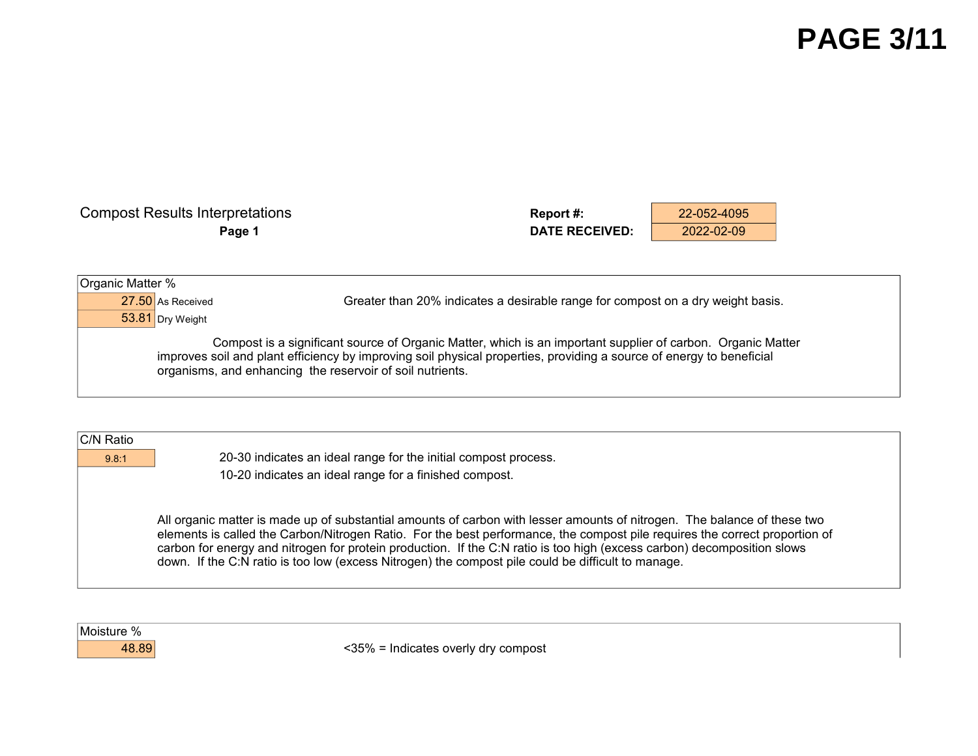| <b>Compost Results Interpretations</b> | <b>Report #:</b>      | 22-052-4095 |  |
|----------------------------------------|-----------------------|-------------|--|
| Page 1                                 | <b>DATE RECEIVED:</b> | 2022-02-09  |  |
|                                        |                       |             |  |
|                                        |                       |             |  |
| Organic Matter %                       |                       |             |  |

53.81 Dry Weight

27.50 As Received Greater than 20% indicates a desirable range for compost on a dry weight basis.

 Compost is a significant source of Organic Matter, which is an important supplier of carbon. Organic Matter improves soil and plant efficiency by improving soil physical properties, providing a source of energy to beneficial organisms, and enhancing the reservoir of soil nutrients.

| C/N Ratio |                                                                                                                                                                                                                                                                                                                                                                                                                                                                                          |
|-----------|------------------------------------------------------------------------------------------------------------------------------------------------------------------------------------------------------------------------------------------------------------------------------------------------------------------------------------------------------------------------------------------------------------------------------------------------------------------------------------------|
| 9.8:1     | 20-30 indicates an ideal range for the initial compost process.                                                                                                                                                                                                                                                                                                                                                                                                                          |
|           | 10-20 indicates an ideal range for a finished compost.                                                                                                                                                                                                                                                                                                                                                                                                                                   |
|           |                                                                                                                                                                                                                                                                                                                                                                                                                                                                                          |
|           | All organic matter is made up of substantial amounts of carbon with lesser amounts of nitrogen. The balance of these two<br>elements is called the Carbon/Nitrogen Ratio. For the best performance, the compost pile requires the correct proportion of<br>carbon for energy and nitrogen for protein production. If the C:N ratio is too high (excess carbon) decomposition slows<br>down. If the C:N ratio is too low (excess Nitrogen) the compost pile could be difficult to manage. |



48.89 <35% = Indicates overly dry compost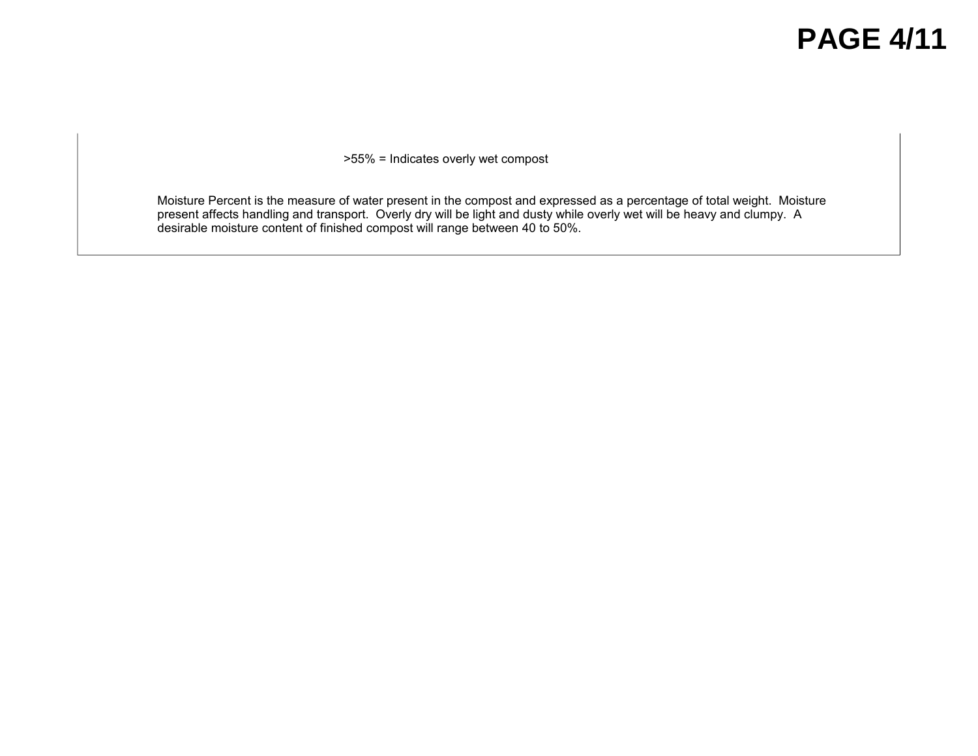### **PAGE 4/11**

>55% = Indicates overly wet compost

Moisture Percent is the measure of water present in the compost and expressed as a percentage of total weight. Moisture present affects handling and transport. Overly dry will be light and dusty while overly wet will be heavy and clumpy. A desirable moisture content of finished compost will range between 40 to 50%.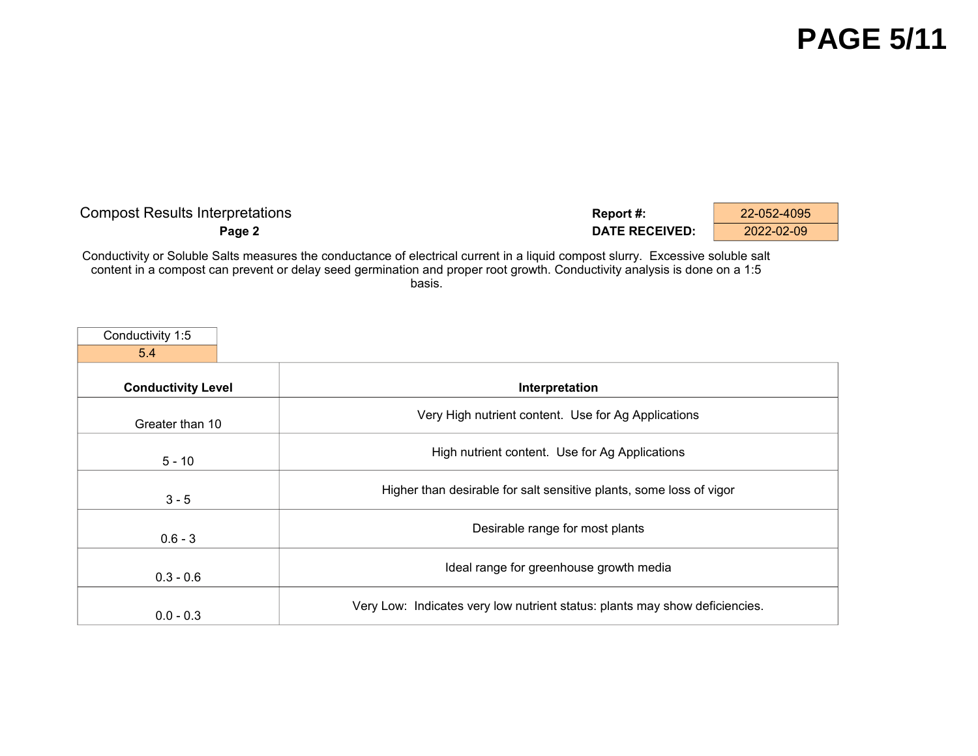## **PAGE 5/11**

| <b>Compost Results Interpretations</b>                                                                                                                                                                                                                      | Report #:             | 22-052-4095 |
|-------------------------------------------------------------------------------------------------------------------------------------------------------------------------------------------------------------------------------------------------------------|-----------------------|-------------|
| Page 2                                                                                                                                                                                                                                                      | <b>DATE RECEIVED:</b> | 2022-02-09  |
| Conductivity or Soluble Salts measures the conductance of electrical current in a liquid compost slurry. Excessive soluble salt<br>ontant in a compact can provent or delay sood germination and proper reat grouth. Conductivity apolysis is done on a 1.5 |                       |             |

content in a compost can prevent or delay seed germination and proper root growth. Conductivity analysis is done on a 1:5 basis.

| Conductivity 1:5          |                                                                             |
|---------------------------|-----------------------------------------------------------------------------|
| 5.4                       |                                                                             |
| <b>Conductivity Level</b> | Interpretation                                                              |
| Greater than 10           | Very High nutrient content. Use for Ag Applications                         |
| $5 - 10$                  | High nutrient content. Use for Ag Applications                              |
| $3 - 5$                   | Higher than desirable for salt sensitive plants, some loss of vigor         |
| $0.6 - 3$                 | Desirable range for most plants                                             |
| $0.3 - 0.6$               | Ideal range for greenhouse growth media                                     |
| $0.0 - 0.3$               | Very Low: Indicates very low nutrient status: plants may show deficiencies. |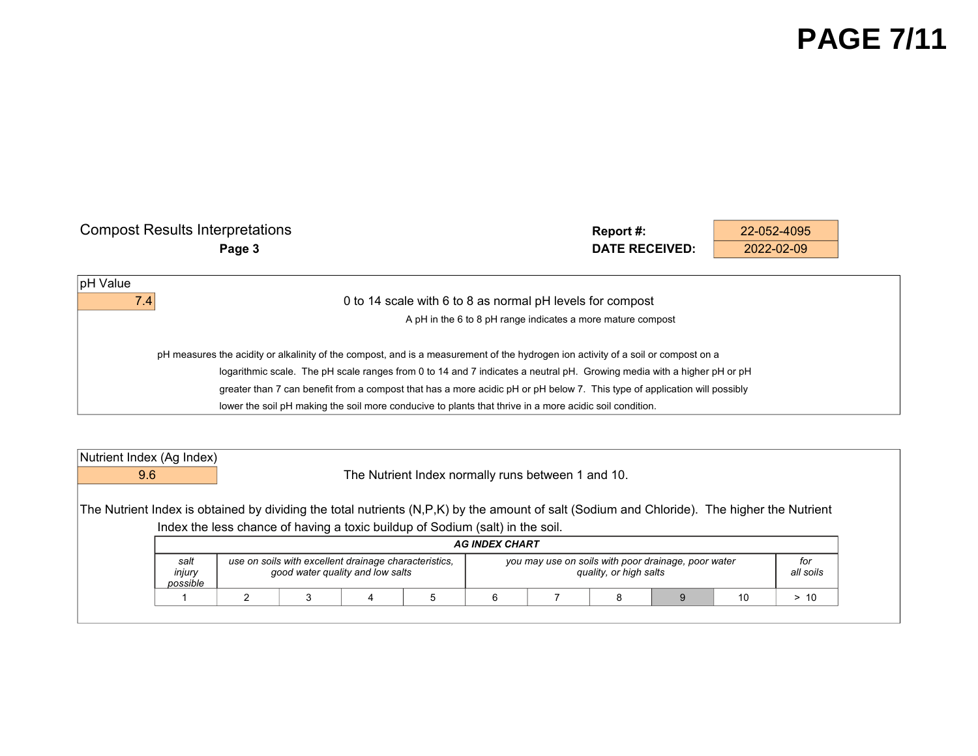## **PAGE 7/11**

| <b>Compost Results Interpretations</b> | Report#:<br>22-052-4095                                                                                                           |
|----------------------------------------|-----------------------------------------------------------------------------------------------------------------------------------|
| Page 3                                 | <b>DATE RECEIVED:</b><br>2022-02-09                                                                                               |
| pH Value                               |                                                                                                                                   |
| 7.4                                    | 0 to 14 scale with 6 to 8 as normal pH levels for compost                                                                         |
|                                        | A pH in the 6 to 8 pH range indicates a more mature compost                                                                       |
|                                        | pH measures the acidity or alkalinity of the compost, and is a measurement of the hydrogen ion activity of a soil or compost on a |
|                                        | logarithmic scale. The pH scale ranges from 0 to 14 and 7 indicates a neutral pH. Growing media with a higher pH or pH            |
|                                        | greater than 7 can benefit from a compost that has a more acidic pH or pH below 7. This type of application will possibly         |
|                                        | lower the soil pH making the soil more conducive to plants that thrive in a more acidic soil condition.                           |

| Nutrient Index (Ag Index)                                                                                                                   |                                                                                                                                                                                                                              |  |  |  |                                                                               |  |  |  |  |  |
|---------------------------------------------------------------------------------------------------------------------------------------------|------------------------------------------------------------------------------------------------------------------------------------------------------------------------------------------------------------------------------|--|--|--|-------------------------------------------------------------------------------|--|--|--|--|--|
| 9.6                                                                                                                                         |                                                                                                                                                                                                                              |  |  |  | The Nutrient Index normally runs between 1 and 10.                            |  |  |  |  |  |
| The Nutrient Index is obtained by dividing the total nutrients (N,P,K) by the amount of salt (Sodium and Chloride). The higher the Nutrient |                                                                                                                                                                                                                              |  |  |  | Index the less chance of having a toxic buildup of Sodium (salt) in the soil. |  |  |  |  |  |
|                                                                                                                                             | <b>AG INDEX CHART</b>                                                                                                                                                                                                        |  |  |  |                                                                               |  |  |  |  |  |
|                                                                                                                                             | use on soils with excellent drainage characteristics,<br>you may use on soils with poor drainage, poor water<br>for<br>salt<br>injury<br>quality, or high salts<br>good water quality and low salts<br>all soils<br>possible |  |  |  |                                                                               |  |  |  |  |  |
|                                                                                                                                             |                                                                                                                                                                                                                              |  |  |  |                                                                               |  |  |  |  |  |